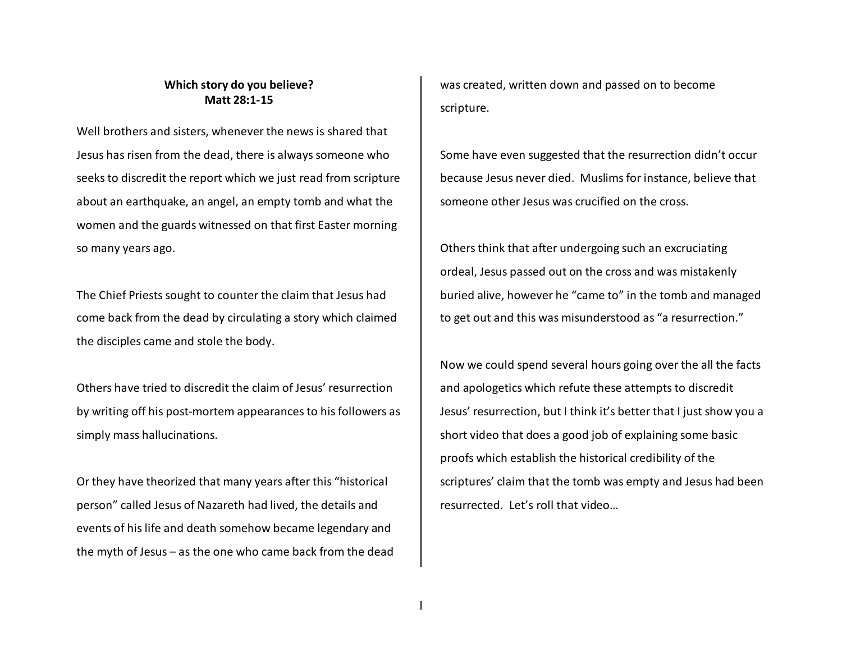## **Which story do you believe? Matt 28:1-15**

Well brothers and sisters, whenever the news is shared that Jesus has risen from the dead, there is always someone who seeks to discredit the report which we just read from scripture about an earthquake, an angel, an empty tomb and what the women and the guards witnessed on that first Easter morning so many years ago.

The Chief Priests sought to counter the claim that Jesus had come back from the dead by circulating a story which claimed the disciples came and stole the body.

Others have tried to discredit the claim of Jesus' resurrection by writing off his post-mortem appearances to his followers as simply mass hallucinations.

Or they have theorized that many years after this "historical person" called Jesus of Nazareth had lived, the details and events of his life and death somehow became legendary and the myth of Jesus – as the one who came back from the dead was created, written down and passed on to become scripture.

Some have even suggested that the resurrection didn't occur because Jesus never died. Muslims for instance, believe that someone other Jesus was crucified on the cross.

Others think that after undergoing such an excruciating ordeal, Jesus passed out on the cross and was mistakenly buried alive, however he "came to" in the tomb and managed to get out and this was misunderstood as "a resurrection."

Now we could spend several hours going over the all the facts and apologetics which refute these attempts to discredit Jesus' resurrection, but I think it's better that I just show you a short video that does a good job of explaining some basic proofs which establish the historical credibility of the scriptures' claim that the tomb was empty and Jesus had been resurrected. Let's roll that video…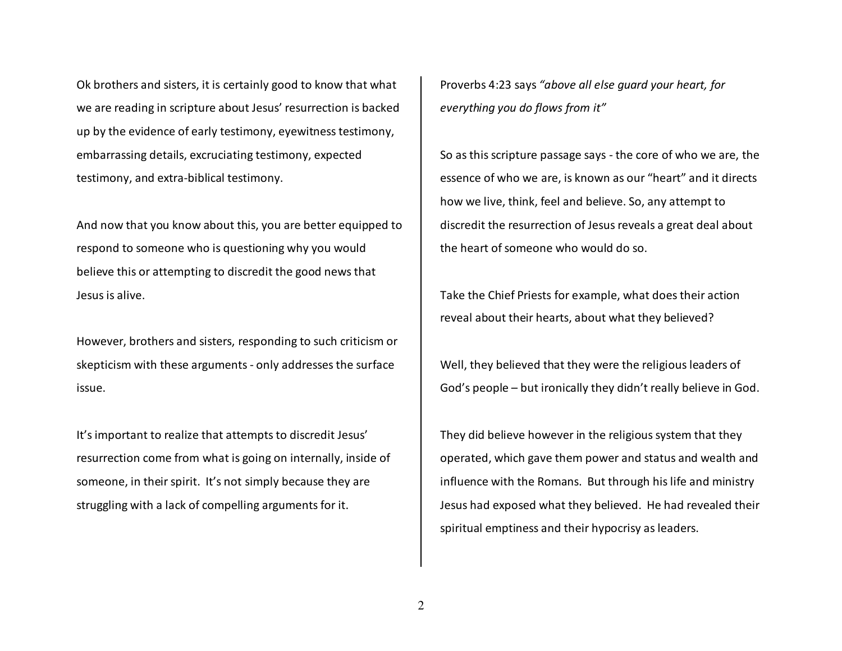Ok brothers and sisters, it is certainly good to know that what we are reading in scripture about Jesus' resurrection is backed up by the evidence of early testimony, eyewitness testimony, embarrassing details, excruciating testimony, expected testimony, and extra-biblical testimony.

And now that you know about this, you are better equipped to respond to someone who is questioning why you wouldbelieve this or attempting to discredit the good news that Jesus is alive.

However, brothers and sisters, responding to such criticism or skepticism with these arguments - only addresses the surface issue.

It's important to realize that attempts to discredit Jesus' resurrection come from what is going on internally, inside of someone, in their spirit. It's not simply because they are struggling with a lack of compelling arguments for it.

Proverbs 4:23 says *"above all else guard your heart, for everything you do flows from it"*

So as this scripture passage says - the core of who we are, the essence of who we are, is known as our "heart" and it directs how we live, think, feel and believe. So, any attempt to discredit the resurrection of Jesus reveals a great deal about the heart of someone who would do so.

Take the Chief Priests for example, what does their action reveal about their hearts, about what they believed?

Well, they believed that they were the religious leaders of God's people – but ironically they didn't really believe in God.

They did believe however in the religious system that they operated, which gave them power and status and wealth and influence with the Romans. But through his life and ministry Jesus had exposed what they believed. He had revealed their spiritual emptiness and their hypocrisy as leaders.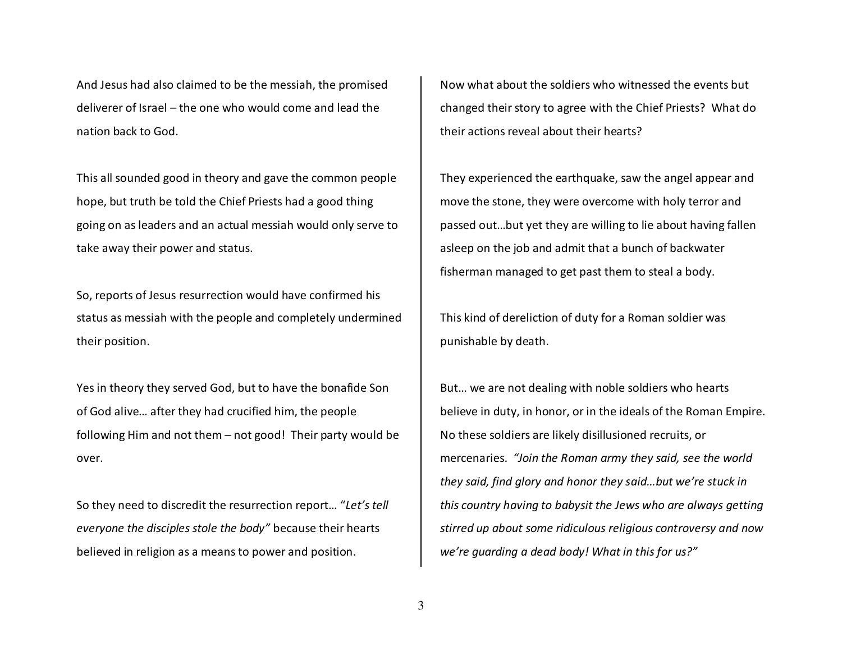And Jesus had also claimed to be the messiah, the promised deliverer of Israel – the one who would come and lead the nation back to God.

This all sounded good in theory and gave the common people hope, but truth be told the Chief Priests had a good thing going on as leaders and an actual messiah would only serve to take away their power and status.

So, reports of Jesus resurrection would have confirmed his status as messiah with the people and completely undermined their position.

Yes in theory they served God, but to have the bonafide Son of God alive… after they had crucified him, the people following Him and not them – not good! Their party would be over.

So they need to discredit the resurrection report… "*Let's tell everyone the disciples stole the body"* because their hearts believed in religion as a means to power and position.

Now what about the soldiers who witnessed the events but changed their story to agree with the Chief Priests? What do their actions reveal about their hearts?

They experienced the earthquake, saw the angel appear and move the stone, they were overcome with holy terror and passed out…but yet they are willing to lie about having fallen asleep on the job and admit that a bunch of backwater fisherman managed to get past them to steal a body.

This kind of dereliction of duty for a Roman soldier was punishable by death.

But… we are not dealing with noble soldiers who hearts believe in duty, in honor, or in the ideals of the Roman Empire. No these soldiers are likely disillusioned recruits, or mercenaries. *"Join the Roman army they said, see the world they said, find glory and honor they said…but we're stuck in this country having to babysit the Jews who are always getting stirred up about some ridiculous religious controversy and now we're guarding a dead body! What in this for us?"*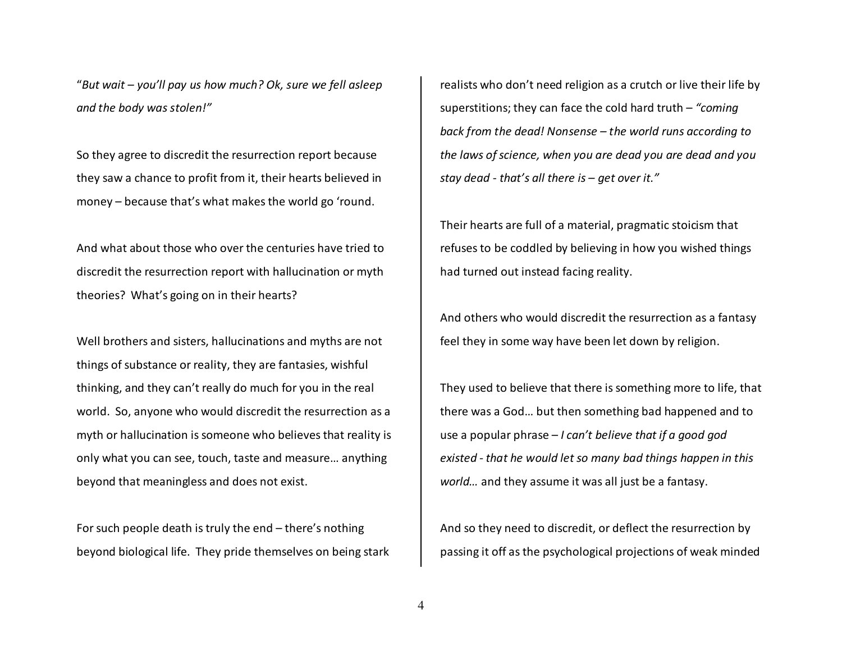"*But wait – you'll pay us how much? Ok, sure we fell asleep and the body was stolen!"* 

So they agree to discredit the resurrection report because they saw a chance to profit from it, their hearts believed in money – because that's what makes the world go 'round.

And what about those who over the centuries have tried to discredit the resurrection report with hallucination or myth theories? What's going on in their hearts?

Well brothers and sisters, hallucinations and myths are not things of substance or reality, they are fantasies, wishful thinking, and they can't really do much for you in the real world. So, anyone who would discredit the resurrection as a myth or hallucination is someone who believes that reality is only what you can see, touch, taste and measure… anything beyond that meaningless and does not exist.

For such people death is truly the end – there's nothing beyond biological life. They pride themselves on being stark realists who don't need religion as a crutch or live their life by superstitions; they can face the cold hard truth – *"coming back from the dead! Nonsense – the world runs according to the laws of science, when you are dead you are dead and you stay dead - that's all there is – get over it."*

Their hearts are full of a material, pragmatic stoicism that refuses to be coddled by believing in how you wished things had turned out instead facing reality.

And others who would discredit the resurrection as a fantasy feel they in some way have been let down by religion.

They used to believe that there is something more to life, that there was a God… but then something bad happened and to use a popular phrase – *I can't believe that if a good godexisted - that he would let so many bad things happen in this world…* and they assume it was all just be a fantasy.

And so they need to discredit, or deflect the resurrection by passing it off as the psychological projections of weak minded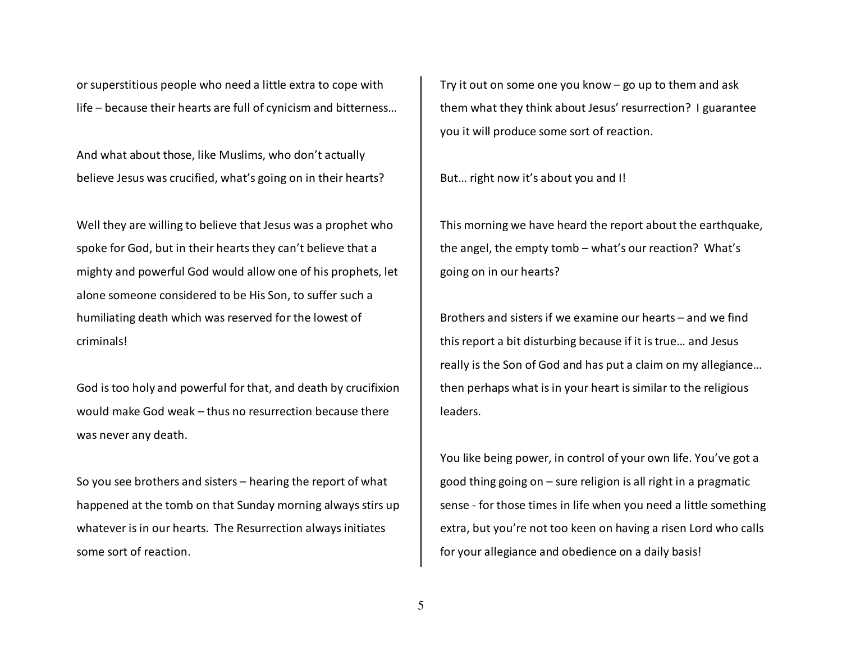or superstitious people who need a little extra to cope with life – because their hearts are full of cynicism and bitterness…

And what about those, like Muslims, who don't actuallybelieve Jesus was crucified, what's going on in their hearts?

Well they are willing to believe that Jesus was a prophet who spoke for God, but in their hearts they can't believe that a mighty and powerful God would allow one of his prophets, let alone someone considered to be His Son, to suffer such a humiliating death which was reserved for the lowest of criminals!

God is too holy and powerful for that, and death by crucifixion would make God weak – thus no resurrection because there was never any death.

So you see brothers and sisters – hearing the report of what happened at the tomb on that Sunday morning always stirs up whatever is in our hearts. The Resurrection always initiates some sort of reaction.

Try it out on some one you know – go up to them and ask them what they think about Jesus' resurrection? I guarantee you it will produce some sort of reaction.

But… right now it's about you and I!

This morning we have heard the report about the earthquake, the angel, the empty tomb – what's our reaction? What's going on in our hearts?

Brothers and sisters if we examine our hearts – and we find this report a bit disturbing because if it is true… and Jesus really is the Son of God and has put a claim on my allegiance… then perhaps what is in your heart is similar to the religious leaders.

You like being power, in control of your own life. You've got a good thing going on – sure religion is all right in a pragmatic sense - for those times in life when you need a little something extra, but you're not too keen on having a risen Lord who calls for your allegiance and obedience on a daily basis!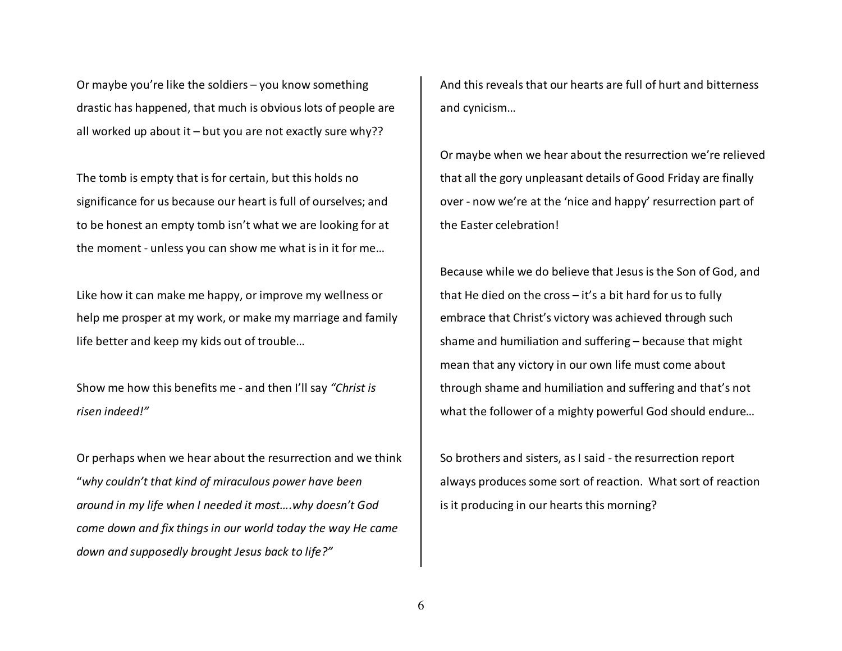Or maybe you're like the soldiers – you know something drastic has happened, that much is obvious lots of people are all worked up about it – but you are not exactly sure why??

The tomb is empty that is for certain, but this holds no significance for us because our heart is full of ourselves; and to be honest an empty tomb isn't what we are looking for at the moment - unless you can show me what is in it for me…

Like how it can make me happy, or improve my wellness or help me prosper at my work, or make my marriage and family life better and keep my kids out of trouble…

Show me how this benefits me - and then I'll say *"Christ is risen indeed!"* 

Or perhaps when we hear about the resurrection and we think "*why couldn't that kind of miraculous power have beenaround in my life when I needed it most….why doesn't God come down and fix things in our world today the way He came down and supposedly brought Jesus back to life?"* 

And this reveals that our hearts are full of hurt and bitterness and cynicism…

Or maybe when we hear about the resurrection we're relieved that all the gory unpleasant details of Good Friday are finally over - now we're at the 'nice and happy' resurrection part of the Easter celebration!

Because while we do believe that Jesus is the Son of God, and that He died on the cross – it's a bit hard for us to fully embrace that Christ's victory was achieved through such shame and humiliation and suffering – because that might mean that any victory in our own life must come about through shame and humiliation and suffering and that's not what the follower of a mighty powerful God should endure…

So brothers and sisters, as I said - the resurrection report always produces some sort of reaction. What sort of reaction is it producing in our hearts this morning?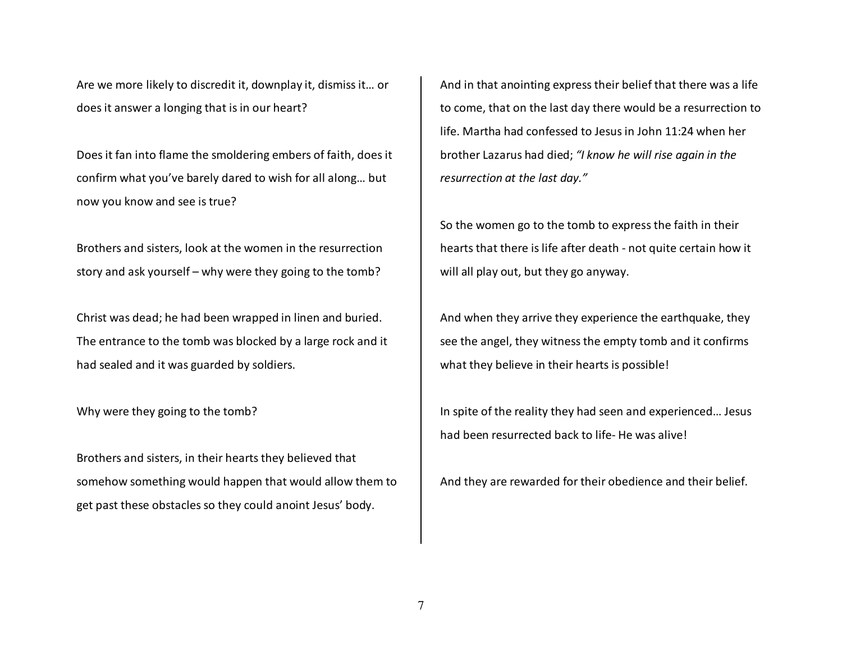Are we more likely to discredit it, downplay it, dismiss it… or does it answer a longing that is in our heart?

Does it fan into flame the smoldering embers of faith, does it confirm what you've barely dared to wish for all along… but now you know and see is true?

Brothers and sisters, look at the women in the resurrection story and ask yourself – why were they going to the tomb?

Christ was dead; he had been wrapped in linen and buried. The entrance to the tomb was blocked by a large rock and it had sealed and it was guarded by soldiers.

Why were they going to the tomb?

Brothers and sisters, in their hearts they believed that somehow something would happen that would allow them to get past these obstacles so they could anoint Jesus' body.

And in that anointing express their belief that there was a life to come, that on the last day there would be a resurrection to life. Martha had confessed to Jesus in John 11:24 when her brother Lazarus had died; *"I know he will rise again in the resurrection at the last day."* 

So the women go to the tomb to express the faith in their hearts that there is life after death - not quite certain how it will all play out, but they go anyway.

And when they arrive they experience the earthquake, they see the angel, they witness the empty tomb and it confirms what they believe in their hearts is possible!

In spite of the reality they had seen and experienced… Jesus had been resurrected back to life- He was alive!

And they are rewarded for their obedience and their belief.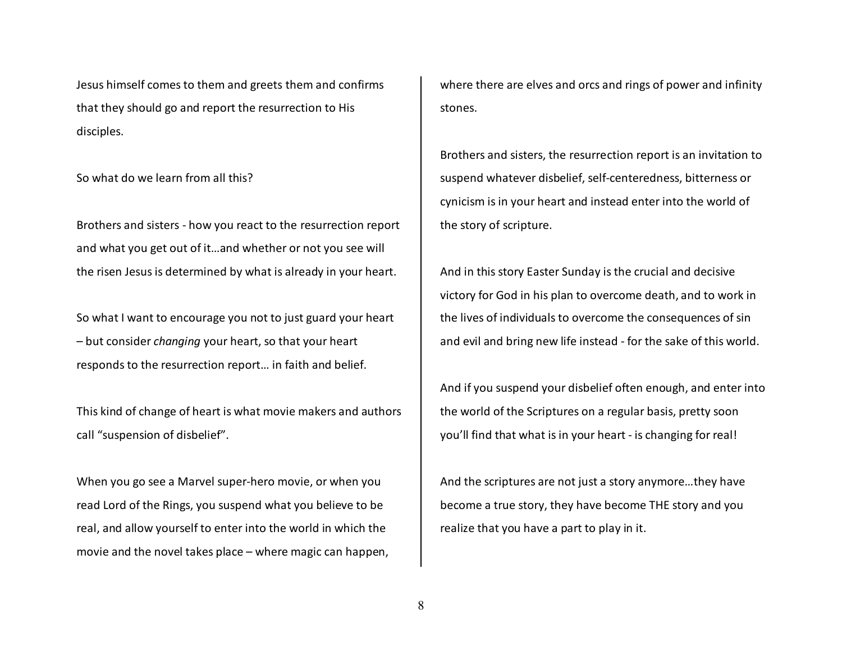Jesus himself comes to them and greets them and confirms that they should go and report the resurrection to His disciples.

So what do we learn from all this?

Brothers and sisters - how you react to the resurrection report and what you get out of it…and whether or not you see will the risen Jesus is determined by what is already in your heart.

So what I want to encourage you not to just guard your heart – but consider *changing* your heart, so that your heart responds to the resurrection report… in faith and belief.

This kind of change of heart is what movie makers and authors call "suspension of disbelief".

When you go see a Marvel super-hero movie, or when you read Lord of the Rings, you suspend what you believe to be real, and allow yourself to enter into the world in which the movie and the novel takes place – where magic can happen, where there are elves and orcs and rings of power and infinity stones.

Brothers and sisters, the resurrection report is an invitation to suspend whatever disbelief, self-centeredness, bitterness or cynicism is in your heart and instead enter into the world of the story of scripture.

And in this story Easter Sunday is the crucial and decisive victory for God in his plan to overcome death, and to work in the lives of individuals to overcome the consequences of sin and evil and bring new life instead - for the sake of this world.

And if you suspend your disbelief often enough, and enter into the world of the Scriptures on a regular basis, pretty soon you'll find that what is in your heart - is changing for real!

And the scriptures are not just a story anymore…they have become a true story, they have become THE story and you realize that you have a part to play in it.